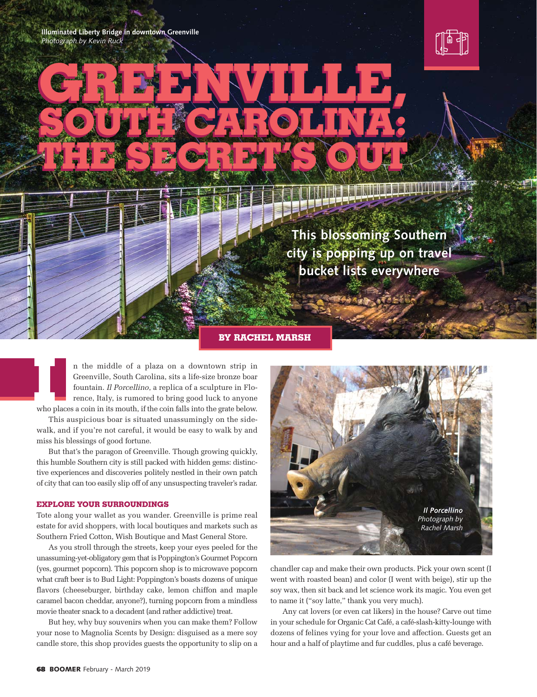**Illuminated Liberty Bridge in downtown Greenville** *Photograph by Kevin Ruck*



**This blossoming Southern city is popping up on travel bucket lists everywhere**

#### **BY RACHEL MARSH**

**GREENWILLE,** 

**GREENVILLE,** 

SOUTH CATOLINAS

**SOUTH CAROLINA:**

THE SECRET SOLL

**THE SECRET SOUT** 

n the middle of a plaza on a downtown strip in Greenville, South Carolina, sits a life-size bronze boar fountain. *Il Porcellino*, a replica of a sculpture in Florence, Italy, is rumored to bring good luck to anyone In the middle of a plaza on a downtown strip in Greenville, South Carolina, sits a life-size bronze boar fountain. *Il Porcellino*, a replica of a sculpture in Florence, Italy, is rumored to bring good luck to anyone who p

This auspicious boar is situated unassumingly on the sidewalk, and if you're not careful, it would be easy to walk by and miss his blessings of good fortune.

But that's the paragon of Greenville. Though growing quickly, this humble Southern city is still packed with hidden gems: distinctive experiences and discoveries politely nestled in their own patch of city that can too easily slip off of any unsuspecting traveler's radar.

# **EXPLORE YOUR SURROUNDINGS**

Tote along your wallet as you wander. Greenville is prime real estate for avid shoppers, with local boutiques and markets such as Southern Fried Cotton, Wish Boutique and Mast General Store.

As you stroll through the streets, keep your eyes peeled for the unassuming-yet-obligatory gem that is Poppington's Gourmet Popcorn (yes, gourmet popcorn). This popcorn shop is to microwave popcorn what craft beer is to Bud Light: Poppington's boasts dozens of unique flavors (cheeseburger, birthday cake, lemon chiffon and maple caramel bacon cheddar, anyone?), turning popcorn from a mindless movie theater snack to a decadent (and rather addictive) treat.

But hey, why buy souvenirs when you can make them? Follow your nose to Magnolia Scents by Design: disguised as a mere soy candle store, this shop provides guests the opportunity to slip on a



chandler cap and make their own products. Pick your own scent (I went with roasted bean) and color (I went with beige), stir up the soy wax, then sit back and let science work its magic. You even get to name it ("soy latte," thank you very much).

Any cat lovers (or even cat likers) in the house? Carve out time in your schedule for Organic Cat Café, a café-slash-kitty-lounge with dozens of felines vying for your love and affection. Guests get an hour and a half of playtime and fur cuddles, plus a café beverage.